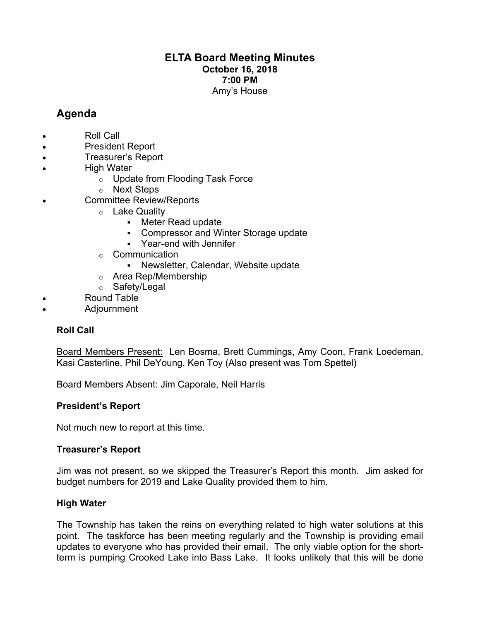# **ELTA Board Meeting Minutes October 16, 2018 7:00 PM** Amy's House

# **Agenda**

- Roll Call
- President Report
- Treasurer's Report
- **High Water** 
	- o Update from Flooding Task Force
	- o Next Steps
- Committee Review/Reports
	- o Lake Quality
		- Meter Read update
		- § Compressor and Winter Storage update
		- § Year-end with Jennifer
	- o Communication
		- § Newsletter, Calendar, Website update
	- o Area Rep/Membership
	- o Safety/Legal
- Round Table
- Adjournment

# **Roll Call**

Board Members Present: Len Bosma, Brett Cummings, Amy Coon, Frank Loedeman, Kasi Casterline, Phil DeYoung, Ken Toy (Also present was Tom Spettel)

Board Members Absent: Jim Caporale, Neil Harris

# **President's Report**

Not much new to report at this time.

# **Treasurer's Report**

Jim was not present, so we skipped the Treasurer's Report this month. Jim asked for budget numbers for 2019 and Lake Quality provided them to him.

# **High Water**

The Township has taken the reins on everything related to high water solutions at this point. The taskforce has been meeting regularly and the Township is providing email updates to everyone who has provided their email. The only viable option for the shortterm is pumping Crooked Lake into Bass Lake. It looks unlikely that this will be done